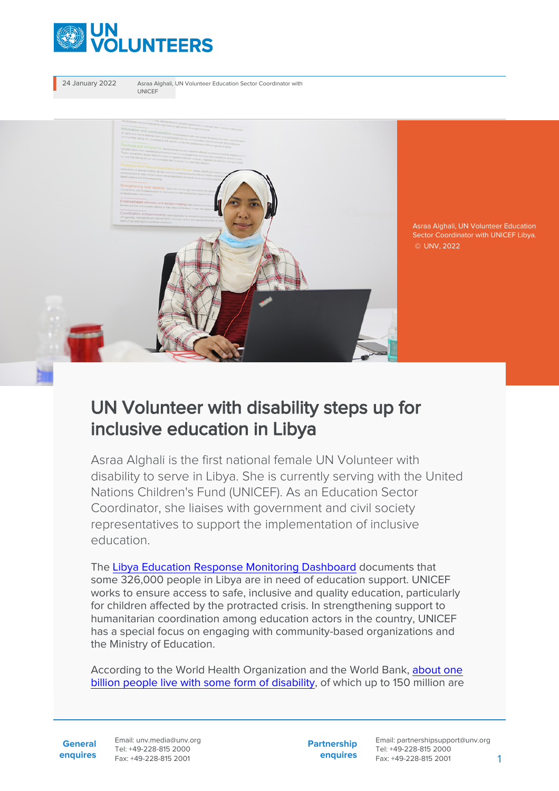

24 January 2022 Asraa Alghali, UN Volunteer Education Sector Coordinator with UNICEF



Asraa Alghali, UN Volunteer Education Sector Coordinator with UNICEF Libya. © UNV, 2022

## UN Volunteer with disability steps up for inclusive education in Libya

Asraa Alghali is the first national female UN Volunteer with disability to serve in Libya. She is currently serving with the United Nations Children's Fund (UNICEF). As an Education Sector Coordinator, she liaises with government and civil society representatives to support the implementation of inclusive education.

The [Libya Education Response Monitoring Dashboard](https://www.humanitarianresponse.info/sites/www.humanitarianresponse.info/files/edudashmay2021.png) documents that some 326,000 people in Libya are in need of education support. UNICEF works to ensure access to safe, inclusive and quality education, particularly for children affected by the protracted crisis. In strengthening support to humanitarian coordination among education actors in the country, UNICEF has a special focus on engaging with community-based organizations and the Ministry of Education.

According to the World Health Organization and the World Bank, [about one](https://www.right-to-education.org/issue-page/marginalised-groups/persons-disabilities) [billion people live with some form of disability](https://www.right-to-education.org/issue-page/marginalised-groups/persons-disabilities), of which up to 150 million are

**General enquires** Email: unv.media@unv.org Tel: +49-228-815 2000 Fax: +49-228-815 2001

**Partnership enquires**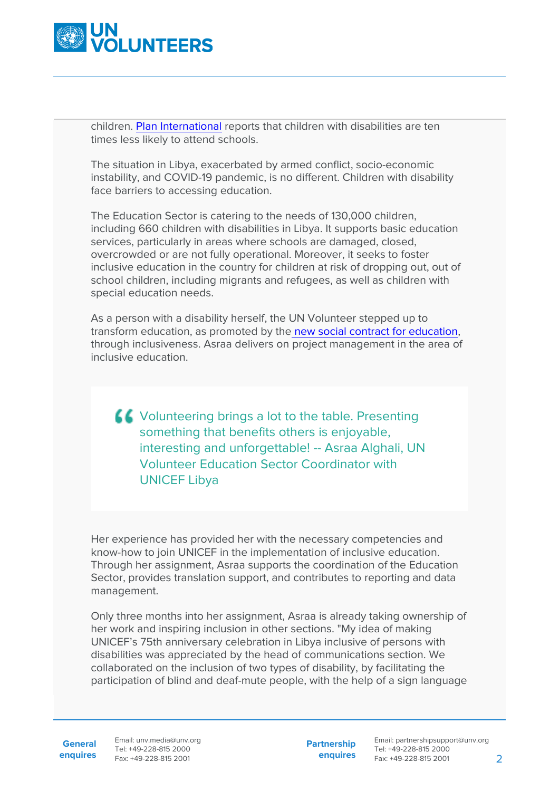

children. [Plan International](https://www.right-to-education.org/resource/include-us-study-disability-among-plan-internationals-sponsored-children) reports that children with disabilities are ten times less likely to attend schools.

The situation in Libya, exacerbated by armed conflict, socio-economic instability, and COVID-19 pandemic, is no different. Children with disability face barriers to accessing education.

The Education Sector is catering to the needs of 130,000 children, including 660 children with disabilities in Libya. It supports basic education services, particularly in areas where schools are damaged, closed, overcrowded or are not fully operational. Moreover, it seeks to foster inclusive education in the country for children at risk of dropping out, out of school children, including migrants and refugees, as well as children with special education needs.

As a person with a disability herself, the UN Volunteer stepped up to transform education, as promoted by the [new social contract for education,](https://unesdoc.unesco.org/ark:/48223/pf0000379707.locale=en) through inclusiveness. Asraa delivers on project management in the area of inclusive education.

Volunteering brings a lot to the table. Presenting something that benefits others is enjoyable, interesting and unforgettable! -- Asraa Alghali, UN Volunteer Education Sector Coordinator with UNICEF Libya

Her experience has provided her with the necessary competencies and know-how to join UNICEF in the implementation of inclusive education. Through her assignment, Asraa supports the coordination of the Education Sector, provides translation support, and contributes to reporting and data management.

Only three months into her assignment, Asraa is already taking ownership of her work and inspiring inclusion in other sections. "My idea of making UNICEF's 75th anniversary celebration in Libya inclusive of persons with disabilities was appreciated by the head of communications section. We collaborated on the inclusion of two types of disability, by facilitating the participation of blind and deaf-mute people, with the help of a sign language

General Email: unv.media@unv.org **enquires** Fax: +49-228-815 2001 Tel: +49-228-815 2000

**Partnership enquires**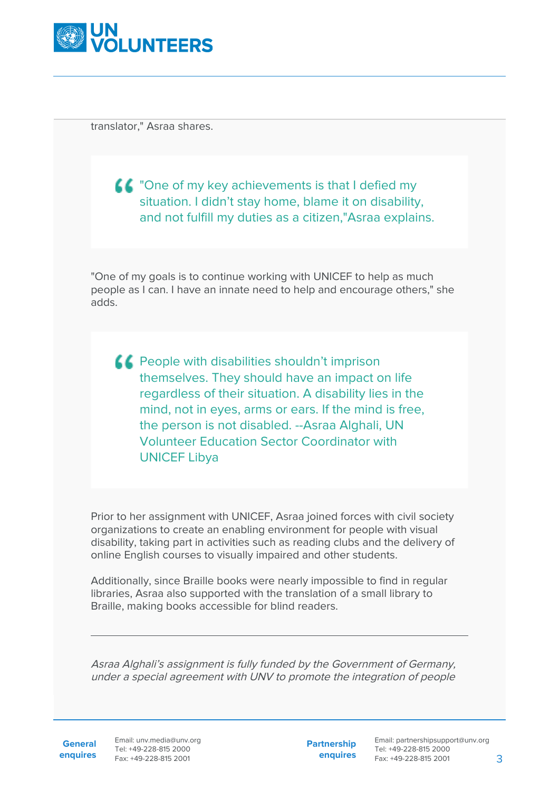

translator," Asraa shares.

**CODED STATE IN A THE VIOLET CONCRETED** TO THE TONE of my select my situation. I didn't stay home, blame it on disability, and not fulfill my duties as a citizen,"Asraa explains.

"One of my goals is to continue working with UNICEF to help as much people as I can. I have an innate need to help and encourage others," she adds.

**CO** People with disabilities shouldn't imprison themselves. They should have an impact on life regardless of their situation. A disability lies in the mind, not in eyes, arms or ears. If the mind is free, the person is not disabled. --Asraa Alghali, UN Volunteer Education Sector Coordinator with UNICEF Libya

Prior to her assignment with UNICEF, Asraa joined forces with civil society organizations to create an enabling environment for people with visual disability, taking part in activities such as reading clubs and the delivery of online English courses to visually impaired and other students.

Additionally, since Braille books were nearly impossible to find in regular libraries, Asraa also supported with the translation of a small library to Braille, making books accessible for blind readers.

Asraa Alghali's assignment is fully funded by the Government of Germany, under a special agreement with UNV to promote the integration of people

General Email: unv.media@unv.org **enquires** Fax: +49-228-815 2001 Tel: +49-228-815 2000

**Partnership enquires**